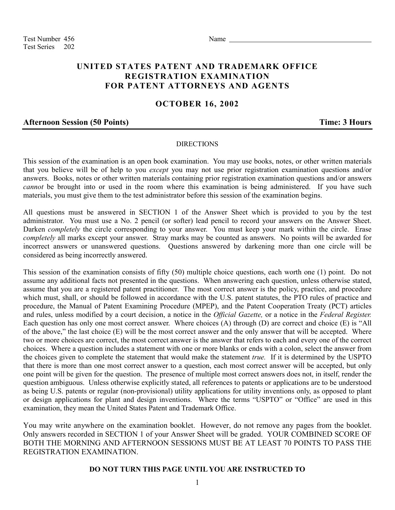Test Number 456 Name Test Series 202

# **UNITED STATES PATENT AND TRADEMARK OFFICE REGISTRATION EXAMINATION FOR PATENT ATTORNEYS AND AGENTS**

# **OCTOBER 16, 2002**

### **Afternoon Session (50 Points) Time: 3 Hours**

#### DIRECTIONS

This session of the examination is an open book examination. You may use books, notes, or other written materials that you believe will be of help to you *except* you may not use prior registration examination questions and/or answers. Books, notes or other written materials containing prior registration examination questions and/or answers *cannot* be brought into or used in the room where this examination is being administered. If you have such materials, you must give them to the test administrator before this session of the examination begins.

All questions must be answered in SECTION 1 of the Answer Sheet which is provided to you by the test administrator. You must use a No. 2 pencil (or softer) lead pencil to record your answers on the Answer Sheet. Darken *completely* the circle corresponding to your answer. You must keep your mark within the circle. Erase *completely* all marks except your answer. Stray marks may be counted as answers. No points will be awarded for incorrect answers or unanswered questions. Questions answered by darkening more than one circle will be considered as being incorrectly answered.

This session of the examination consists of fifty (50) multiple choice questions, each worth one (1) point. Do not assume any additional facts not presented in the questions. When answering each question, unless otherwise stated, assume that you are a registered patent practitioner. The most correct answer is the policy, practice, and procedure which must, shall, or should be followed in accordance with the U.S. patent statutes, the PTO rules of practice and procedure, the Manual of Patent Examining Procedure (MPEP), and the Patent Cooperation Treaty (PCT) articles and rules, unless modified by a court decision, a notice in the *Official Gazette,* or a notice in the *Federal Register.* Each question has only one most correct answer. Where choices (A) through (D) are correct and choice (E) is "All of the above," the last choice (E) will be the most correct answer and the only answer that will be accepted. Where two or more choices are correct, the most correct answer is the answer that refers to each and every one of the correct choices. Where a question includes a statement with one or more blanks or ends with a colon, select the answer from the choices given to complete the statement that would make the statement *true.* If it is determined by the USPTO that there is more than one most correct answer to a question, each most correct answer will be accepted, but only one point will be given for the question. The presence of multiple most correct answers does not, in itself, render the question ambiguous. Unless otherwise explicitly stated, all references to patents or applications are to be understood as being U.S. patents or regular (non-provisional) utility applications for utility inventions only, as opposed to plant or design applications for plant and design inventions. Where the terms "USPTO" or "Office" are used in this examination, they mean the United States Patent and Trademark Office.

You may write anywhere on the examination booklet. However, do not remove any pages from the booklet. Only answers recorded in SECTION 1 of your Answer Sheet will be graded. YOUR COMBINED SCORE OF BOTH THE MORNING AND AFTERNOON SESSIONS MUST BE AT LEAST 70 POINTS TO PASS THE REGISTRATION EXAMINATION.

### **DO NOT TURN THIS PAGE UNTIL YOU ARE INSTRUCTED TO**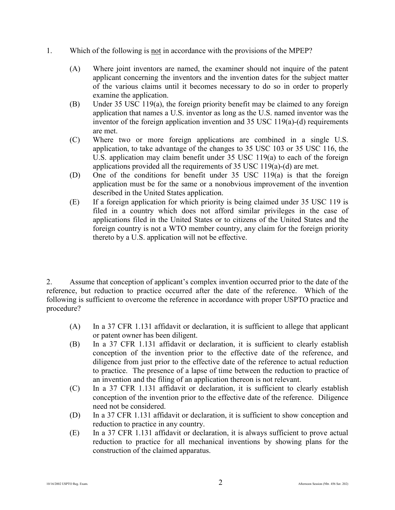- 1. Which of the following is not in accordance with the provisions of the MPEP?
	- (A) Where joint inventors are named, the examiner should not inquire of the patent applicant concerning the inventors and the invention dates for the subject matter of the various claims until it becomes necessary to do so in order to properly examine the application.
	- (B) Under 35 USC 119(a), the foreign priority benefit may be claimed to any foreign application that names a U.S. inventor as long as the U.S. named inventor was the inventor of the foreign application invention and 35 USC 119(a)-(d) requirements are met.
	- (C) Where two or more foreign applications are combined in a single U.S. application, to take advantage of the changes to 35 USC 103 or 35 USC 116, the U.S. application may claim benefit under 35 USC 119(a) to each of the foreign applications provided all the requirements of 35 USC 119(a)-(d) are met.
	- (D) One of the conditions for benefit under 35 USC 119(a) is that the foreign application must be for the same or a nonobvious improvement of the invention described in the United States application.
	- (E) If a foreign application for which priority is being claimed under 35 USC 119 is filed in a country which does not afford similar privileges in the case of applications filed in the United States or to citizens of the United States and the foreign country is not a WTO member country, any claim for the foreign priority thereto by a U.S. application will not be effective.

2. Assume that conception of applicant's complex invention occurred prior to the date of the reference, but reduction to practice occurred after the date of the reference. Which of the following is sufficient to overcome the reference in accordance with proper USPTO practice and procedure?

- (A) In a 37 CFR 1.131 affidavit or declaration, it is sufficient to allege that applicant or patent owner has been diligent.
- (B) In a 37 CFR 1.131 affidavit or declaration, it is sufficient to clearly establish conception of the invention prior to the effective date of the reference, and diligence from just prior to the effective date of the reference to actual reduction to practice. The presence of a lapse of time between the reduction to practice of an invention and the filing of an application thereon is not relevant.
- (C) In a 37 CFR 1.131 affidavit or declaration, it is sufficient to clearly establish conception of the invention prior to the effective date of the reference. Diligence need not be considered.
- (D) In a 37 CFR 1.131 affidavit or declaration, it is sufficient to show conception and reduction to practice in any country.
- (E) In a 37 CFR 1.131 affidavit or declaration, it is always sufficient to prove actual reduction to practice for all mechanical inventions by showing plans for the construction of the claimed apparatus.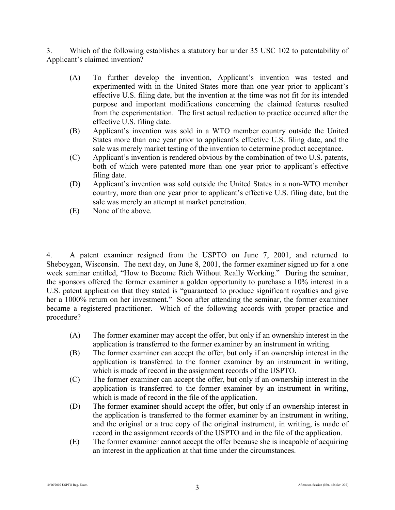3. Which of the following establishes a statutory bar under 35 USC 102 to patentability of Applicant's claimed invention?

- (A) To further develop the invention, Applicant's invention was tested and experimented with in the United States more than one year prior to applicant's effective U.S. filing date, but the invention at the time was not fit for its intended purpose and important modifications concerning the claimed features resulted from the experimentation. The first actual reduction to practice occurred after the effective U.S. filing date.
- (B) Applicant's invention was sold in a WTO member country outside the United States more than one year prior to applicant's effective U.S. filing date, and the sale was merely market testing of the invention to determine product acceptance.
- (C) Applicant's invention is rendered obvious by the combination of two U.S. patents, both of which were patented more than one year prior to applicant's effective filing date.
- (D) Applicant's invention was sold outside the United States in a non-WTO member country, more than one year prior to applicant's effective U.S. filing date, but the sale was merely an attempt at market penetration.
- (E) None of the above.

4. A patent examiner resigned from the USPTO on June 7, 2001, and returned to Sheboygan, Wisconsin. The next day, on June 8, 2001, the former examiner signed up for a one week seminar entitled, "How to Become Rich Without Really Working." During the seminar, the sponsors offered the former examiner a golden opportunity to purchase a 10% interest in a U.S. patent application that they stated is "guaranteed to produce significant royalties and give her a 1000% return on her investment." Soon after attending the seminar, the former examiner became a registered practitioner. Which of the following accords with proper practice and procedure?

- (A) The former examiner may accept the offer, but only if an ownership interest in the application is transferred to the former examiner by an instrument in writing.
- (B) The former examiner can accept the offer, but only if an ownership interest in the application is transferred to the former examiner by an instrument in writing, which is made of record in the assignment records of the USPTO.
- (C) The former examiner can accept the offer, but only if an ownership interest in the application is transferred to the former examiner by an instrument in writing, which is made of record in the file of the application.
- (D) The former examiner should accept the offer, but only if an ownership interest in the application is transferred to the former examiner by an instrument in writing, and the original or a true copy of the original instrument, in writing, is made of record in the assignment records of the USPTO and in the file of the application.
- (E) The former examiner cannot accept the offer because she is incapable of acquiring an interest in the application at that time under the circumstances.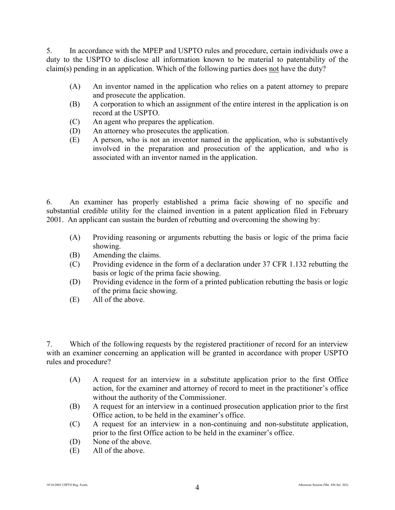5. In accordance with the MPEP and USPTO rules and procedure, certain individuals owe a duty to the USPTO to disclose all information known to be material to patentability of the claim(s) pending in an application. Which of the following parties does not have the duty?

- (A) An inventor named in the application who relies on a patent attorney to prepare and prosecute the application.
- (B) A corporation to which an assignment of the entire interest in the application is on record at the USPTO.
- (C) An agent who prepares the application.
- (D) An attorney who prosecutes the application.
- (E) A person, who is not an inventor named in the application, who is substantively involved in the preparation and prosecution of the application, and who is associated with an inventor named in the application.

6. An examiner has properly established a prima facie showing of no specific and substantial credible utility for the claimed invention in a patent application filed in February 2001. An applicant can sustain the burden of rebutting and overcoming the showing by:

- (A) Providing reasoning or arguments rebutting the basis or logic of the prima facie showing.
- (B) Amending the claims.
- (C) Providing evidence in the form of a declaration under 37 CFR 1.132 rebutting the basis or logic of the prima facie showing.
- (D) Providing evidence in the form of a printed publication rebutting the basis or logic of the prima facie showing.
- (E) All of the above.

7. Which of the following requests by the registered practitioner of record for an interview with an examiner concerning an application will be granted in accordance with proper USPTO rules and procedure?

- (A) A request for an interview in a substitute application prior to the first Office action, for the examiner and attorney of record to meet in the practitioner's office without the authority of the Commissioner.
- (B) A request for an interview in a continued prosecution application prior to the first Office action, to be held in the examiner's office.
- (C) A request for an interview in a non-continuing and non-substitute application, prior to the first Office action to be held in the examiner's office.
- (D) None of the above.
- (E) All of the above.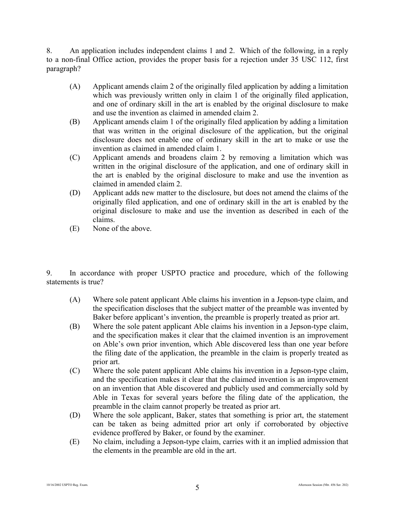8. An application includes independent claims 1 and 2. Which of the following, in a reply to a non-final Office action, provides the proper basis for a rejection under 35 USC 112, first paragraph?

- (A) Applicant amends claim 2 of the originally filed application by adding a limitation which was previously written only in claim 1 of the originally filed application, and one of ordinary skill in the art is enabled by the original disclosure to make and use the invention as claimed in amended claim 2.
- (B) Applicant amends claim 1 of the originally filed application by adding a limitation that was written in the original disclosure of the application, but the original disclosure does not enable one of ordinary skill in the art to make or use the invention as claimed in amended claim 1.
- (C) Applicant amends and broadens claim 2 by removing a limitation which was written in the original disclosure of the application, and one of ordinary skill in the art is enabled by the original disclosure to make and use the invention as claimed in amended claim 2.
- (D) Applicant adds new matter to the disclosure, but does not amend the claims of the originally filed application, and one of ordinary skill in the art is enabled by the original disclosure to make and use the invention as described in each of the claims.
- (E) None of the above.

9. In accordance with proper USPTO practice and procedure, which of the following statements is true?

- (A) Where sole patent applicant Able claims his invention in a Jepson-type claim, and the specification discloses that the subject matter of the preamble was invented by Baker before applicant's invention, the preamble is properly treated as prior art.
- (B) Where the sole patent applicant Able claims his invention in a Jepson-type claim, and the specification makes it clear that the claimed invention is an improvement on Able's own prior invention, which Able discovered less than one year before the filing date of the application, the preamble in the claim is properly treated as prior art.
- (C) Where the sole patent applicant Able claims his invention in a Jepson-type claim, and the specification makes it clear that the claimed invention is an improvement on an invention that Able discovered and publicly used and commercially sold by Able in Texas for several years before the filing date of the application, the preamble in the claim cannot properly be treated as prior art.
- (D) Where the sole applicant, Baker, states that something is prior art, the statement can be taken as being admitted prior art only if corroborated by objective evidence proffered by Baker, or found by the examiner.
- (E) No claim, including a Jepson-type claim, carries with it an implied admission that the elements in the preamble are old in the art.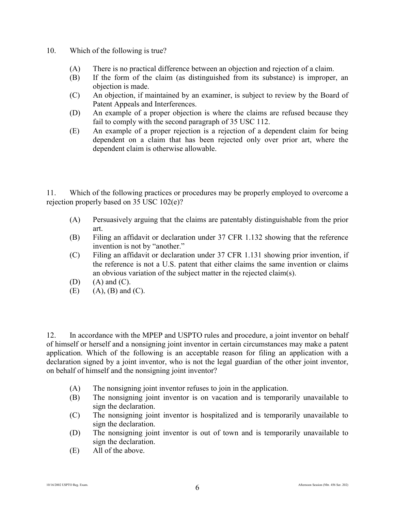- 10. Which of the following is true?
	- (A) There is no practical difference between an objection and rejection of a claim.
	- (B) If the form of the claim (as distinguished from its substance) is improper, an objection is made.
	- (C) An objection, if maintained by an examiner, is subject to review by the Board of Patent Appeals and Interferences.
	- (D) An example of a proper objection is where the claims are refused because they fail to comply with the second paragraph of 35 USC 112.
	- (E) An example of a proper rejection is a rejection of a dependent claim for being dependent on a claim that has been rejected only over prior art, where the dependent claim is otherwise allowable.

11. Which of the following practices or procedures may be properly employed to overcome a rejection properly based on 35 USC 102(e)?

- (A) Persuasively arguing that the claims are patentably distinguishable from the prior art.
- (B) Filing an affidavit or declaration under 37 CFR 1.132 showing that the reference invention is not by "another."
- (C) Filing an affidavit or declaration under 37 CFR 1.131 showing prior invention, if the reference is not a U.S. patent that either claims the same invention or claims an obvious variation of the subject matter in the rejected claim(s).
- $(D)$   $(A)$  and  $(C)$ .
- $(E)$  (A),  $(B)$  and  $(C)$ .

12. In accordance with the MPEP and USPTO rules and procedure, a joint inventor on behalf of himself or herself and a nonsigning joint inventor in certain circumstances may make a patent application. Which of the following is an acceptable reason for filing an application with a declaration signed by a joint inventor, who is not the legal guardian of the other joint inventor, on behalf of himself and the nonsigning joint inventor?

- (A) The nonsigning joint inventor refuses to join in the application.
- (B) The nonsigning joint inventor is on vacation and is temporarily unavailable to sign the declaration.
- (C) The nonsigning joint inventor is hospitalized and is temporarily unavailable to sign the declaration.
- (D) The nonsigning joint inventor is out of town and is temporarily unavailable to sign the declaration.
- (E) All of the above.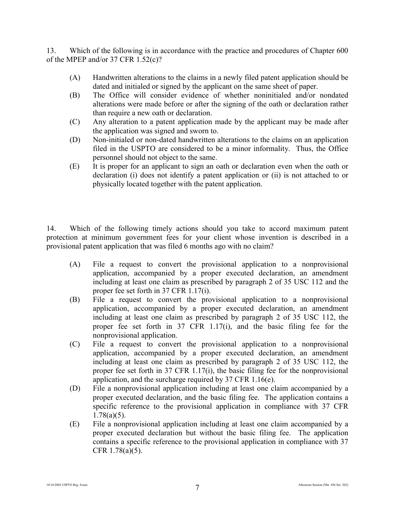13. Which of the following is in accordance with the practice and procedures of Chapter 600 of the MPEP and/or 37 CFR 1.52(c)?

- (A) Handwritten alterations to the claims in a newly filed patent application should be dated and initialed or signed by the applicant on the same sheet of paper.
- (B) The Office will consider evidence of whether noninitialed and/or nondated alterations were made before or after the signing of the oath or declaration rather than require a new oath or declaration.
- (C) Any alteration to a patent application made by the applicant may be made after the application was signed and sworn to.
- (D) Non-initialed or non-dated handwritten alterations to the claims on an application filed in the USPTO are considered to be a minor informality. Thus, the Office personnel should not object to the same.
- (E) It is proper for an applicant to sign an oath or declaration even when the oath or declaration (i) does not identify a patent application or (ii) is not attached to or physically located together with the patent application.

14. Which of the following timely actions should you take to accord maximum patent protection at minimum government fees for your client whose invention is described in a provisional patent application that was filed 6 months ago with no claim?

- (A) File a request to convert the provisional application to a nonprovisional application, accompanied by a proper executed declaration, an amendment including at least one claim as prescribed by paragraph 2 of 35 USC 112 and the proper fee set forth in 37 CFR 1.17(i).
- (B) File a request to convert the provisional application to a nonprovisional application, accompanied by a proper executed declaration, an amendment including at least one claim as prescribed by paragraph 2 of 35 USC 112, the proper fee set forth in 37 CFR 1.17(i), and the basic filing fee for the nonprovisional application.
- (C) File a request to convert the provisional application to a nonprovisional application, accompanied by a proper executed declaration, an amendment including at least one claim as prescribed by paragraph 2 of 35 USC 112, the proper fee set forth in 37 CFR 1.17(i), the basic filing fee for the nonprovisional application, and the surcharge required by 37 CFR 1.16(e).
- (D) File a nonprovisional application including at least one claim accompanied by a proper executed declaration, and the basic filing fee. The application contains a specific reference to the provisional application in compliance with 37 CFR 1.78(a)(5).
- (E) File a nonprovisional application including at least one claim accompanied by a proper executed declaration but without the basic filing fee. The application contains a specific reference to the provisional application in compliance with 37 CFR 1.78(a)(5).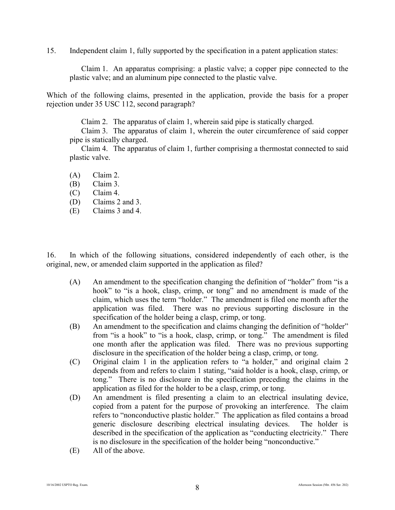15. Independent claim 1, fully supported by the specification in a patent application states:

Claim 1. An apparatus comprising: a plastic valve; a copper pipe connected to the plastic valve; and an aluminum pipe connected to the plastic valve.

Which of the following claims, presented in the application, provide the basis for a proper rejection under 35 USC 112, second paragraph?

Claim 2. The apparatus of claim 1, wherein said pipe is statically charged.

Claim 3. The apparatus of claim 1, wherein the outer circumference of said copper pipe is statically charged.

Claim 4. The apparatus of claim 1, further comprising a thermostat connected to said plastic valve.

(A) Claim 2.

- (B) Claim 3.
- (C) Claim 4.
- (D) Claims 2 and 3.
- (E) Claims 3 and 4.

16. In which of the following situations, considered independently of each other, is the original, new, or amended claim supported in the application as filed?

- (A) An amendment to the specification changing the definition of "holder" from "is a hook" to "is a hook, clasp, crimp, or tong" and no amendment is made of the claim, which uses the term "holder." The amendment is filed one month after the application was filed. There was no previous supporting disclosure in the specification of the holder being a clasp, crimp, or tong.
- (B) An amendment to the specification and claims changing the definition of "holder" from "is a hook" to "is a hook, clasp, crimp, or tong." The amendment is filed one month after the application was filed. There was no previous supporting disclosure in the specification of the holder being a clasp, crimp, or tong.
- (C) Original claim 1 in the application refers to "a holder," and original claim 2 depends from and refers to claim 1 stating, "said holder is a hook, clasp, crimp, or tong." There is no disclosure in the specification preceding the claims in the application as filed for the holder to be a clasp, crimp, or tong.
- (D) An amendment is filed presenting a claim to an electrical insulating device, copied from a patent for the purpose of provoking an interference. The claim refers to "nonconductive plastic holder." The application as filed contains a broad generic disclosure describing electrical insulating devices. The holder is described in the specification of the application as "conducting electricity." There is no disclosure in the specification of the holder being "nonconductive."
- (E) All of the above.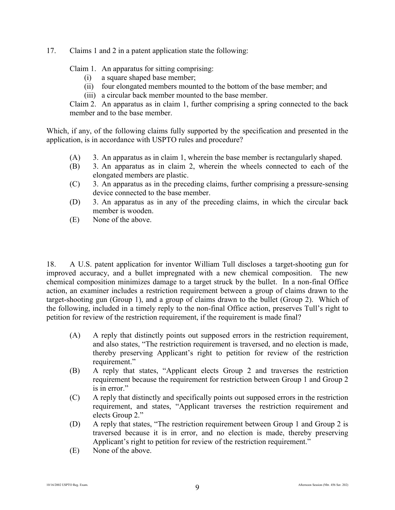17. Claims 1 and 2 in a patent application state the following:

Claim 1. An apparatus for sitting comprising:

- (i) a square shaped base member;
- (ii) four elongated members mounted to the bottom of the base member; and
- (iii) a circular back member mounted to the base member.

Claim 2. An apparatus as in claim 1, further comprising a spring connected to the back member and to the base member.

Which, if any, of the following claims fully supported by the specification and presented in the application, is in accordance with USPTO rules and procedure?

- (A) 3. An apparatus as in claim 1, wherein the base member is rectangularly shaped.
- (B) 3. An apparatus as in claim 2, wherein the wheels connected to each of the elongated members are plastic.
- (C) 3. An apparatus as in the preceding claims, further comprising a pressure-sensing device connected to the base member.
- (D) 3. An apparatus as in any of the preceding claims, in which the circular back member is wooden.
- (E) None of the above.

18. A U.S. patent application for inventor William Tull discloses a target-shooting gun for improved accuracy, and a bullet impregnated with a new chemical composition. The new chemical composition minimizes damage to a target struck by the bullet. In a non-final Office action, an examiner includes a restriction requirement between a group of claims drawn to the target-shooting gun (Group 1), and a group of claims drawn to the bullet (Group 2). Which of the following, included in a timely reply to the non-final Office action, preserves Tull's right to petition for review of the restriction requirement, if the requirement is made final?

- (A) A reply that distinctly points out supposed errors in the restriction requirement, and also states, "The restriction requirement is traversed, and no election is made, thereby preserving Applicant's right to petition for review of the restriction requirement."
- (B) A reply that states, "Applicant elects Group 2 and traverses the restriction requirement because the requirement for restriction between Group 1 and Group 2 is in error."
- (C) A reply that distinctly and specifically points out supposed errors in the restriction requirement, and states, "Applicant traverses the restriction requirement and elects Group 2."
- (D) A reply that states, "The restriction requirement between Group 1 and Group 2 is traversed because it is in error, and no election is made, thereby preserving Applicant's right to petition for review of the restriction requirement."
- (E) None of the above.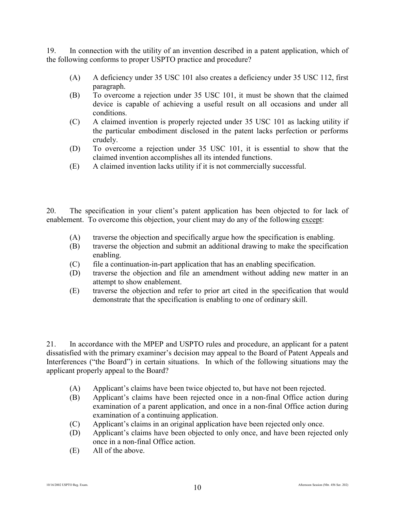19. In connection with the utility of an invention described in a patent application, which of the following conforms to proper USPTO practice and procedure?

- (A) A deficiency under 35 USC 101 also creates a deficiency under 35 USC 112, first paragraph.
- (B) To overcome a rejection under 35 USC 101, it must be shown that the claimed device is capable of achieving a useful result on all occasions and under all conditions.
- (C) A claimed invention is properly rejected under 35 USC 101 as lacking utility if the particular embodiment disclosed in the patent lacks perfection or performs crudely.
- (D) To overcome a rejection under 35 USC 101, it is essential to show that the claimed invention accomplishes all its intended functions.
- (E) A claimed invention lacks utility if it is not commercially successful.

20. The specification in your client's patent application has been objected to for lack of enablement. To overcome this objection, your client may do any of the following except:

- (A) traverse the objection and specifically argue how the specification is enabling.
- (B) traverse the objection and submit an additional drawing to make the specification enabling.
- (C) file a continuation-in-part application that has an enabling specification.
- (D) traverse the objection and file an amendment without adding new matter in an attempt to show enablement.
- (E) traverse the objection and refer to prior art cited in the specification that would demonstrate that the specification is enabling to one of ordinary skill.

21. In accordance with the MPEP and USPTO rules and procedure, an applicant for a patent dissatisfied with the primary examiner's decision may appeal to the Board of Patent Appeals and Interferences ("the Board") in certain situations. In which of the following situations may the applicant properly appeal to the Board?

- (A) Applicant's claims have been twice objected to, but have not been rejected.
- (B) Applicant's claims have been rejected once in a non-final Office action during examination of a parent application, and once in a non-final Office action during examination of a continuing application.
- (C) Applicant's claims in an original application have been rejected only once.
- (D) Applicant's claims have been objected to only once, and have been rejected only once in a non-final Office action.
- (E) All of the above.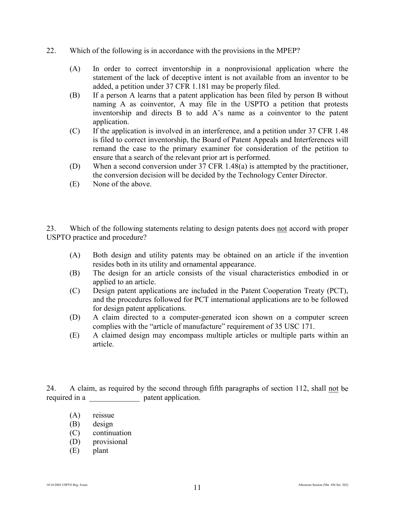- 22. Which of the following is in accordance with the provisions in the MPEP?
	- (A) In order to correct inventorship in a nonprovisional application where the statement of the lack of deceptive intent is not available from an inventor to be added, a petition under 37 CFR 1.181 may be properly filed.
	- (B) If a person A learns that a patent application has been filed by person B without naming A as coinventor, A may file in the USPTO a petition that protests inventorship and directs B to add A's name as a coinventor to the patent application.
	- (C) If the application is involved in an interference, and a petition under 37 CFR 1.48 is filed to correct inventorship, the Board of Patent Appeals and Interferences will remand the case to the primary examiner for consideration of the petition to ensure that a search of the relevant prior art is performed.
	- (D) When a second conversion under 37 CFR 1.48(a) is attempted by the practitioner, the conversion decision will be decided by the Technology Center Director.
	- (E) None of the above.

23. Which of the following statements relating to design patents does not accord with proper USPTO practice and procedure?

- (A) Both design and utility patents may be obtained on an article if the invention resides both in its utility and ornamental appearance.
- (B) The design for an article consists of the visual characteristics embodied in or applied to an article.
- (C) Design patent applications are included in the Patent Cooperation Treaty (PCT), and the procedures followed for PCT international applications are to be followed for design patent applications.
- (D) A claim directed to a computer-generated icon shown on a computer screen complies with the "article of manufacture" requirement of 35 USC 171.
- (E) A claimed design may encompass multiple articles or multiple parts within an article.

24. A claim, as required by the second through fifth paragraphs of section 112, shall not be required in a  $\qquad \qquad$  patent application.

- (A) reissue
- (B) design
- (C) continuation
- (D) provisional
- (E) plant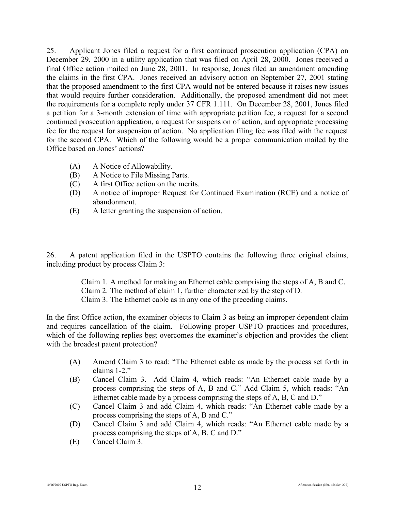25. Applicant Jones filed a request for a first continued prosecution application (CPA) on December 29, 2000 in a utility application that was filed on April 28, 2000. Jones received a final Office action mailed on June 28, 2001. In response, Jones filed an amendment amending the claims in the first CPA. Jones received an advisory action on September 27, 2001 stating that the proposed amendment to the first CPA would not be entered because it raises new issues that would require further consideration. Additionally, the proposed amendment did not meet the requirements for a complete reply under 37 CFR 1.111. On December 28, 2001, Jones filed a petition for a 3-month extension of time with appropriate petition fee, a request for a second continued prosecution application, a request for suspension of action, and appropriate processing fee for the request for suspension of action. No application filing fee was filed with the request for the second CPA. Which of the following would be a proper communication mailed by the Office based on Jones' actions?

- (A) A Notice of Allowability.
- (B) A Notice to File Missing Parts.
- (C) A first Office action on the merits.
- (D) A notice of improper Request for Continued Examination (RCE) and a notice of abandonment.
- (E) A letter granting the suspension of action.

26. A patent application filed in the USPTO contains the following three original claims, including product by process Claim 3:

> Claim 1. A method for making an Ethernet cable comprising the steps of A, B and C. Claim 2. The method of claim 1, further characterized by the step of D. Claim 3. The Ethernet cable as in any one of the preceding claims.

In the first Office action, the examiner objects to Claim 3 as being an improper dependent claim and requires cancellation of the claim. Following proper USPTO practices and procedures, which of the following replies best overcomes the examiner's objection and provides the client with the broadest patent protection?

- (A) Amend Claim 3 to read: "The Ethernet cable as made by the process set forth in claims 1-2."
- (B) Cancel Claim 3. Add Claim 4, which reads: "An Ethernet cable made by a process comprising the steps of A, B and C." Add Claim 5, which reads: "An Ethernet cable made by a process comprising the steps of A, B, C and D."
- (C) Cancel Claim 3 and add Claim 4, which reads: "An Ethernet cable made by a process comprising the steps of A, B and C."
- (D) Cancel Claim 3 and add Claim 4, which reads: "An Ethernet cable made by a process comprising the steps of A, B, C and D."
- (E) Cancel Claim 3.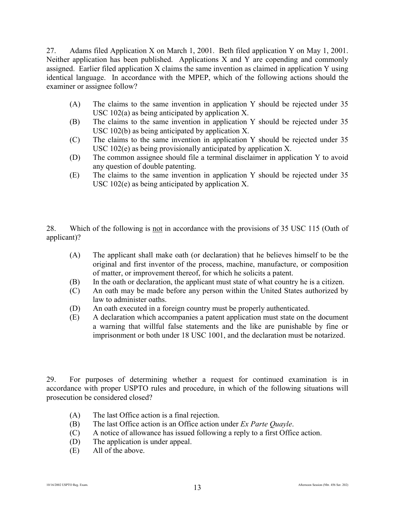27. Adams filed Application X on March 1, 2001. Beth filed application Y on May 1, 2001. Neither application has been published. Applications X and Y are copending and commonly assigned. Earlier filed application X claims the same invention as claimed in application Y using identical language. In accordance with the MPEP, which of the following actions should the examiner or assignee follow?

- (A) The claims to the same invention in application Y should be rejected under 35 USC 102(a) as being anticipated by application X.
- (B) The claims to the same invention in application Y should be rejected under 35 USC 102(b) as being anticipated by application X.
- (C) The claims to the same invention in application Y should be rejected under 35 USC 102(e) as being provisionally anticipated by application X.
- (D) The common assignee should file a terminal disclaimer in application Y to avoid any question of double patenting.
- (E) The claims to the same invention in application Y should be rejected under 35 USC 102(e) as being anticipated by application X.

28. Which of the following is not in accordance with the provisions of 35 USC 115 (Oath of applicant)?

- (A) The applicant shall make oath (or declaration) that he believes himself to be the original and first inventor of the process, machine, manufacture, or composition of matter, or improvement thereof, for which he solicits a patent.
- (B) In the oath or declaration, the applicant must state of what country he is a citizen.
- (C) An oath may be made before any person within the United States authorized by law to administer oaths.
- (D) An oath executed in a foreign country must be properly authenticated.
- (E) A declaration which accompanies a patent application must state on the document a warning that willful false statements and the like are punishable by fine or imprisonment or both under 18 USC 1001, and the declaration must be notarized.

29. For purposes of determining whether a request for continued examination is in accordance with proper USPTO rules and procedure, in which of the following situations will prosecution be considered closed?

- (A) The last Office action is a final rejection.
- (B) The last Office action is an Office action under *Ex Parte Quayle*.
- (C) A notice of allowance has issued following a reply to a first Office action.
- (D) The application is under appeal.
- (E) All of the above.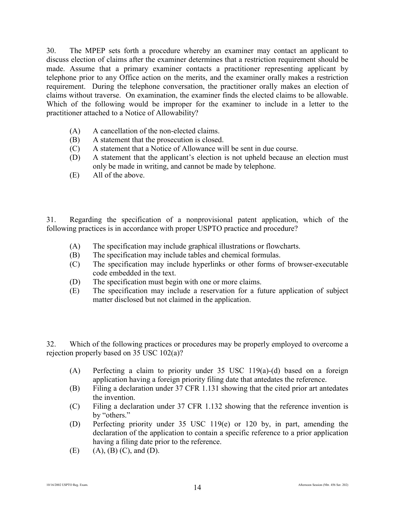30. The MPEP sets forth a procedure whereby an examiner may contact an applicant to discuss election of claims after the examiner determines that a restriction requirement should be made. Assume that a primary examiner contacts a practitioner representing applicant by telephone prior to any Office action on the merits, and the examiner orally makes a restriction requirement. During the telephone conversation, the practitioner orally makes an election of claims without traverse. On examination, the examiner finds the elected claims to be allowable. Which of the following would be improper for the examiner to include in a letter to the practitioner attached to a Notice of Allowability?

- (A) A cancellation of the non-elected claims.
- (B) A statement that the prosecution is closed.
- (C) A statement that a Notice of Allowance will be sent in due course.
- (D) A statement that the applicant's election is not upheld because an election must only be made in writing, and cannot be made by telephone.
- (E) All of the above.

31. Regarding the specification of a nonprovisional patent application, which of the following practices is in accordance with proper USPTO practice and procedure?

- (A) The specification may include graphical illustrations or flowcharts.
- (B) The specification may include tables and chemical formulas.
- (C) The specification may include hyperlinks or other forms of browser-executable code embedded in the text.
- (D) The specification must begin with one or more claims.
- (E) The specification may include a reservation for a future application of subject matter disclosed but not claimed in the application.

32. Which of the following practices or procedures may be properly employed to overcome a rejection properly based on 35 USC 102(a)?

- (A) Perfecting a claim to priority under 35 USC 119(a)-(d) based on a foreign application having a foreign priority filing date that antedates the reference.
- (B) Filing a declaration under 37 CFR 1.131 showing that the cited prior art antedates the invention.
- (C) Filing a declaration under 37 CFR 1.132 showing that the reference invention is by "others."
- (D) Perfecting priority under 35 USC 119(e) or 120 by, in part, amending the declaration of the application to contain a specific reference to a prior application having a filing date prior to the reference.
- $(E)$  (A),  $(B)$  (C), and (D).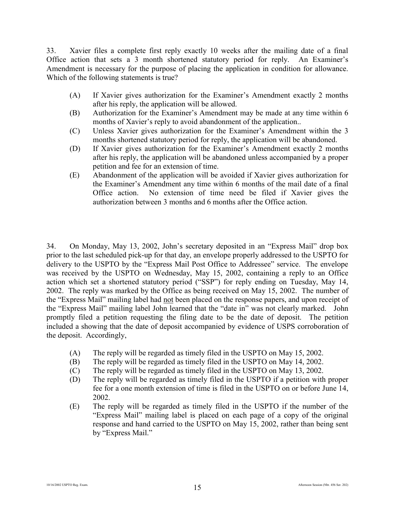33. Xavier files a complete first reply exactly 10 weeks after the mailing date of a final Office action that sets a 3 month shortened statutory period for reply. An Examiner's Amendment is necessary for the purpose of placing the application in condition for allowance. Which of the following statements is true?

- (A) If Xavier gives authorization for the Examiner's Amendment exactly 2 months after his reply, the application will be allowed.
- (B) Authorization for the Examiner's Amendment may be made at any time within 6 months of Xavier's reply to avoid abandonment of the application..
- (C) Unless Xavier gives authorization for the Examiner's Amendment within the 3 months shortened statutory period for reply, the application will be abandoned.
- (D) If Xavier gives authorization for the Examiner's Amendment exactly 2 months after his reply, the application will be abandoned unless accompanied by a proper petition and fee for an extension of time.
- (E) Abandonment of the application will be avoided if Xavier gives authorization for the Examiner's Amendment any time within 6 months of the mail date of a final Office action. No extension of time need be filed if Xavier gives the authorization between 3 months and 6 months after the Office action.

34. On Monday, May 13, 2002, John's secretary deposited in an "Express Mail" drop box prior to the last scheduled pick-up for that day, an envelope properly addressed to the USPTO for delivery to the USPTO by the "Express Mail Post Office to Addressee" service. The envelope was received by the USPTO on Wednesday, May 15, 2002, containing a reply to an Office action which set a shortened statutory period ("SSP") for reply ending on Tuesday, May 14, 2002. The reply was marked by the Office as being received on May 15, 2002. The number of the "Express Mail" mailing label had not been placed on the response papers, and upon receipt of the "Express Mail" mailing label John learned that the "date in" was not clearly marked. John promptly filed a petition requesting the filing date to be the date of deposit. The petition included a showing that the date of deposit accompanied by evidence of USPS corroboration of the deposit. Accordingly,

- (A) The reply will be regarded as timely filed in the USPTO on May 15, 2002.
- (B) The reply will be regarded as timely filed in the USPTO on May 14, 2002.
- (C) The reply will be regarded as timely filed in the USPTO on May 13, 2002.
- (D) The reply will be regarded as timely filed in the USPTO if a petition with proper fee for a one month extension of time is filed in the USPTO on or before June 14, 2002.
- (E) The reply will be regarded as timely filed in the USPTO if the number of the "Express Mail" mailing label is placed on each page of a copy of the original response and hand carried to the USPTO on May 15, 2002, rather than being sent by "Express Mail."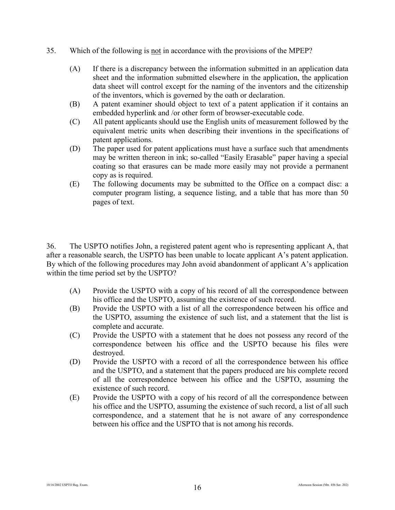- 35. Which of the following is not in accordance with the provisions of the MPEP?
	- (A) If there is a discrepancy between the information submitted in an application data sheet and the information submitted elsewhere in the application, the application data sheet will control except for the naming of the inventors and the citizenship of the inventors, which is governed by the oath or declaration.
	- (B) A patent examiner should object to text of a patent application if it contains an embedded hyperlink and /or other form of browser-executable code.
	- (C) All patent applicants should use the English units of measurement followed by the equivalent metric units when describing their inventions in the specifications of patent applications.
	- (D) The paper used for patent applications must have a surface such that amendments may be written thereon in ink; so-called "Easily Erasable" paper having a special coating so that erasures can be made more easily may not provide a permanent copy as is required.
	- (E) The following documents may be submitted to the Office on a compact disc: a computer program listing, a sequence listing, and a table that has more than 50 pages of text.

36. The USPTO notifies John, a registered patent agent who is representing applicant A, that after a reasonable search, the USPTO has been unable to locate applicant A's patent application. By which of the following procedures may John avoid abandonment of applicant A's application within the time period set by the USPTO?

- (A) Provide the USPTO with a copy of his record of all the correspondence between his office and the USPTO, assuming the existence of such record.
- (B) Provide the USPTO with a list of all the correspondence between his office and the USPTO, assuming the existence of such list, and a statement that the list is complete and accurate.
- (C) Provide the USPTO with a statement that he does not possess any record of the correspondence between his office and the USPTO because his files were destroyed.
- (D) Provide the USPTO with a record of all the correspondence between his office and the USPTO, and a statement that the papers produced are his complete record of all the correspondence between his office and the USPTO, assuming the existence of such record.
- (E) Provide the USPTO with a copy of his record of all the correspondence between his office and the USPTO, assuming the existence of such record, a list of all such correspondence, and a statement that he is not aware of any correspondence between his office and the USPTO that is not among his records.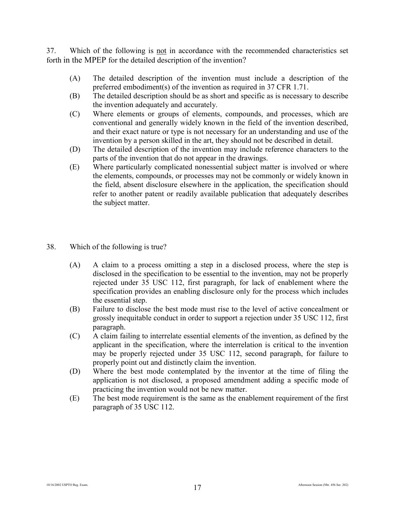37. Which of the following is not in accordance with the recommended characteristics set forth in the MPEP for the detailed description of the invention?

- (A) The detailed description of the invention must include a description of the preferred embodiment(s) of the invention as required in 37 CFR 1.71.
- (B) The detailed description should be as short and specific as is necessary to describe the invention adequately and accurately.
- (C) Where elements or groups of elements, compounds, and processes, which are conventional and generally widely known in the field of the invention described, and their exact nature or type is not necessary for an understanding and use of the invention by a person skilled in the art, they should not be described in detail.
- (D) The detailed description of the invention may include reference characters to the parts of the invention that do not appear in the drawings.
- (E) Where particularly complicated nonessential subject matter is involved or where the elements, compounds, or processes may not be commonly or widely known in the field, absent disclosure elsewhere in the application, the specification should refer to another patent or readily available publication that adequately describes the subject matter.
- 38. Which of the following is true?
	- (A) A claim to a process omitting a step in a disclosed process, where the step is disclosed in the specification to be essential to the invention, may not be properly rejected under 35 USC 112, first paragraph, for lack of enablement where the specification provides an enabling disclosure only for the process which includes the essential step.
	- (B) Failure to disclose the best mode must rise to the level of active concealment or grossly inequitable conduct in order to support a rejection under 35 USC 112, first paragraph.
	- (C) A claim failing to interrelate essential elements of the invention, as defined by the applicant in the specification, where the interrelation is critical to the invention may be properly rejected under 35 USC 112, second paragraph, for failure to properly point out and distinctly claim the invention.
	- (D) Where the best mode contemplated by the inventor at the time of filing the application is not disclosed, a proposed amendment adding a specific mode of practicing the invention would not be new matter.
	- (E) The best mode requirement is the same as the enablement requirement of the first paragraph of 35 USC 112.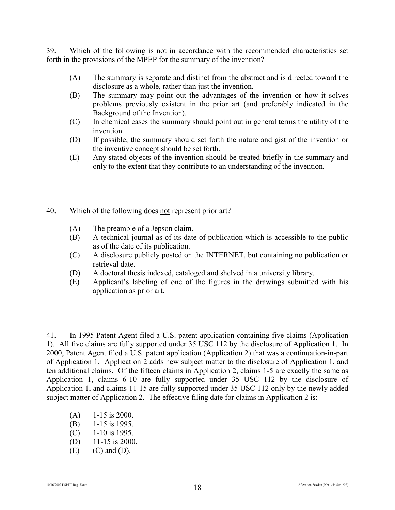39. Which of the following is not in accordance with the recommended characteristics set forth in the provisions of the MPEP for the summary of the invention?

- (A) The summary is separate and distinct from the abstract and is directed toward the disclosure as a whole, rather than just the invention.
- (B) The summary may point out the advantages of the invention or how it solves problems previously existent in the prior art (and preferably indicated in the Background of the Invention).
- (C) In chemical cases the summary should point out in general terms the utility of the invention.
- (D) If possible, the summary should set forth the nature and gist of the invention or the inventive concept should be set forth.
- (E) Any stated objects of the invention should be treated briefly in the summary and only to the extent that they contribute to an understanding of the invention.
- 40. Which of the following does not represent prior art?
	- (A) The preamble of a Jepson claim.
	- (B) A technical journal as of its date of publication which is accessible to the public as of the date of its publication.
	- (C) A disclosure publicly posted on the INTERNET, but containing no publication or retrieval date.
	- (D) A doctoral thesis indexed, cataloged and shelved in a university library.
	- (E) Applicant's labeling of one of the figures in the drawings submitted with his application as prior art.

41. In 1995 Patent Agent filed a U.S. patent application containing five claims (Application 1). All five claims are fully supported under 35 USC 112 by the disclosure of Application 1. In 2000, Patent Agent filed a U.S. patent application (Application 2) that was a continuation-in-part of Application 1. Application 2 adds new subject matter to the disclosure of Application 1, and ten additional claims. Of the fifteen claims in Application 2, claims 1-5 are exactly the same as Application 1, claims 6-10 are fully supported under 35 USC 112 by the disclosure of Application 1, and claims 11-15 are fully supported under 35 USC 112 only by the newly added subject matter of Application 2. The effective filing date for claims in Application 2 is:

- $(A)$  1-15 is 2000.
- (B) 1-15 is 1995.
- (C) 1-10 is 1995.
- (D) 11-15 is 2000.
- $(E)$   $(C)$  and  $(D)$ .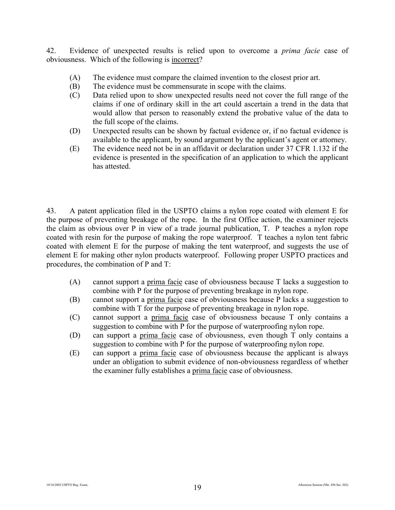42. Evidence of unexpected results is relied upon to overcome a *prima facie* case of obviousness. Which of the following is incorrect?

- (A) The evidence must compare the claimed invention to the closest prior art.
- (B) The evidence must be commensurate in scope with the claims.
- (C) Data relied upon to show unexpected results need not cover the full range of the claims if one of ordinary skill in the art could ascertain a trend in the data that would allow that person to reasonably extend the probative value of the data to the full scope of the claims.
- (D) Unexpected results can be shown by factual evidence or, if no factual evidence is available to the applicant, by sound argument by the applicant's agent or attorney.
- (E) The evidence need not be in an affidavit or declaration under 37 CFR 1.132 if the evidence is presented in the specification of an application to which the applicant has attested.

43. A patent application filed in the USPTO claims a nylon rope coated with element E for the purpose of preventing breakage of the rope. In the first Office action, the examiner rejects the claim as obvious over P in view of a trade journal publication, T. P teaches a nylon rope coated with resin for the purpose of making the rope waterproof. T teaches a nylon tent fabric coated with element E for the purpose of making the tent waterproof, and suggests the use of element E for making other nylon products waterproof. Following proper USPTO practices and procedures, the combination of P and T:

- (A) cannot support a prima facie case of obviousness because T lacks a suggestion to combine with P for the purpose of preventing breakage in nylon rope.
- (B) cannot support a prima facie case of obviousness because P lacks a suggestion to combine with T for the purpose of preventing breakage in nylon rope.
- (C) cannot support a prima facie case of obviousness because T only contains a suggestion to combine with P for the purpose of waterproofing nylon rope.
- (D) can support a prima facie case of obviousness, even though T only contains a suggestion to combine with P for the purpose of waterproofing nylon rope.
- (E) can support a prima facie case of obviousness because the applicant is always under an obligation to submit evidence of non-obviousness regardless of whether the examiner fully establishes a prima facie case of obviousness.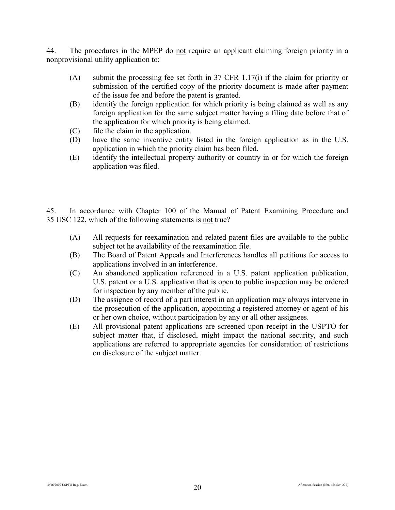44. The procedures in the MPEP do not require an applicant claiming foreign priority in a nonprovisional utility application to:

- (A) submit the processing fee set forth in 37 CFR 1.17(i) if the claim for priority or submission of the certified copy of the priority document is made after payment of the issue fee and before the patent is granted.
- (B) identify the foreign application for which priority is being claimed as well as any foreign application for the same subject matter having a filing date before that of the application for which priority is being claimed.
- (C) file the claim in the application.
- (D) have the same inventive entity listed in the foreign application as in the U.S. application in which the priority claim has been filed.
- (E) identify the intellectual property authority or country in or for which the foreign application was filed.

45. In accordance with Chapter 100 of the Manual of Patent Examining Procedure and 35 USC 122, which of the following statements is not true?

- (A) All requests for reexamination and related patent files are available to the public subject tot he availability of the reexamination file.
- (B) The Board of Patent Appeals and Interferences handles all petitions for access to applications involved in an interference.
- (C) An abandoned application referenced in a U.S. patent application publication, U.S. patent or a U.S. application that is open to public inspection may be ordered for inspection by any member of the public.
- (D) The assignee of record of a part interest in an application may always intervene in the prosecution of the application, appointing a registered attorney or agent of his or her own choice, without participation by any or all other assignees.
- (E) All provisional patent applications are screened upon receipt in the USPTO for subject matter that, if disclosed, might impact the national security, and such applications are referred to appropriate agencies for consideration of restrictions on disclosure of the subject matter.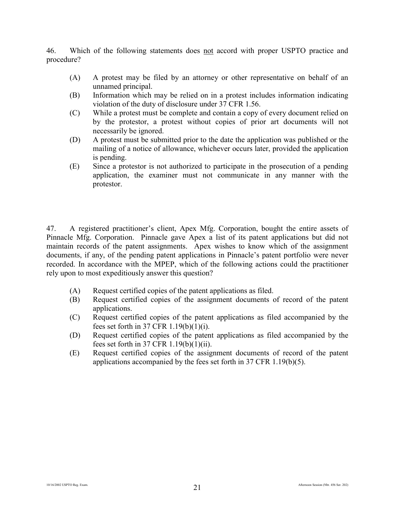46. Which of the following statements does not accord with proper USPTO practice and procedure?

- (A) A protest may be filed by an attorney or other representative on behalf of an unnamed principal.
- (B) Information which may be relied on in a protest includes information indicating violation of the duty of disclosure under 37 CFR 1.56.
- (C) While a protest must be complete and contain a copy of every document relied on by the protestor, a protest without copies of prior art documents will not necessarily be ignored.
- (D) A protest must be submitted prior to the date the application was published or the mailing of a notice of allowance, whichever occurs later, provided the application is pending.
- (E) Since a protestor is not authorized to participate in the prosecution of a pending application, the examiner must not communicate in any manner with the protestor.

47. A registered practitioner's client, Apex Mfg. Corporation, bought the entire assets of Pinnacle Mfg. Corporation. Pinnacle gave Apex a list of its patent applications but did not maintain records of the patent assignments. Apex wishes to know which of the assignment documents, if any, of the pending patent applications in Pinnacle's patent portfolio were never recorded. In accordance with the MPEP, which of the following actions could the practitioner rely upon to most expeditiously answer this question?

- (A) Request certified copies of the patent applications as filed.
- (B) Request certified copies of the assignment documents of record of the patent applications.
- (C) Request certified copies of the patent applications as filed accompanied by the fees set forth in  $37$  CFR  $1.19(b)(1)(i)$ .
- (D) Request certified copies of the patent applications as filed accompanied by the fees set forth in 37 CFR 1.19(b)(1)(ii).
- (E) Request certified copies of the assignment documents of record of the patent applications accompanied by the fees set forth in 37 CFR 1.19(b)(5).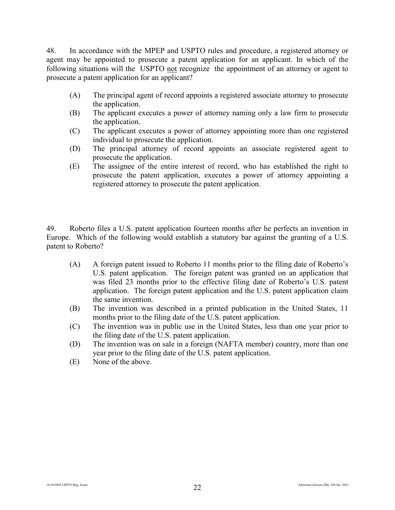48. In accordance with the MPEP and USPTO rules and procedure, a registered attorney or agent may be appointed to prosecute a patent application for an applicant. In which of the following situations will the USPTO not recognize the appointment of an attorney or agent to prosecute a patent application for an applicant?

- (A) The principal agent of record appoints a registered associate attorney to prosecute the application.
- (B) The applicant executes a power of attorney naming only a law firm to prosecute the application.
- (C) The applicant executes a power of attorney appointing more than one registered individual to prosecute the application.
- (D) The principal attorney of record appoints an associate registered agent to prosecute the application.
- (E) The assignee of the entire interest of record, who has established the right to prosecute the patent application, executes a power of attorney appointing a registered attorney to prosecute the patent application.

49. Roberto files a U.S. patent application fourteen months after he perfects an invention in Europe. Which of the following would establish a statutory bar against the granting of a U.S. patent to Roberto?

- (A) A foreign patent issued to Roberto 11 months prior to the filing date of Roberto's U.S. patent application. The foreign patent was granted on an application that was filed 23 months prior to the effective filing date of Roberto's U.S. patent application. The foreign patent application and the U.S. patent application claim the same invention.
- (B) The invention was described in a printed publication in the United States, 11 months prior to the filing date of the U.S. patent application.
- (C) The invention was in public use in the United States, less than one year prior to the filing date of the U.S. patent application.
- (D) The invention was on sale in a foreign (NAFTA member) country, more than one year prior to the filing date of the U.S. patent application.
- (E) None of the above.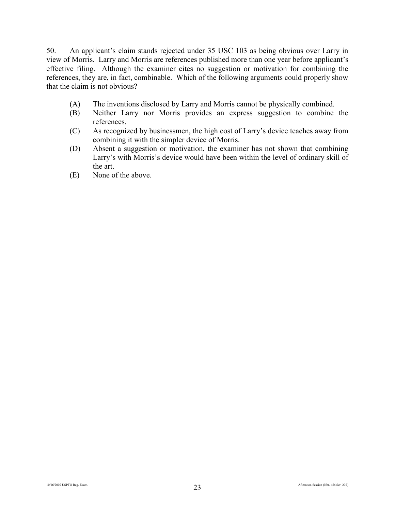50. An applicant's claim stands rejected under 35 USC 103 as being obvious over Larry in view of Morris. Larry and Morris are references published more than one year before applicant's effective filing. Although the examiner cites no suggestion or motivation for combining the references, they are, in fact, combinable. Which of the following arguments could properly show that the claim is not obvious?

- (A) The inventions disclosed by Larry and Morris cannot be physically combined.
- (B) Neither Larry nor Morris provides an express suggestion to combine the references.
- (C) As recognized by businessmen, the high cost of Larry's device teaches away from combining it with the simpler device of Morris.
- (D) Absent a suggestion or motivation, the examiner has not shown that combining Larry's with Morris's device would have been within the level of ordinary skill of the art.
- (E) None of the above.